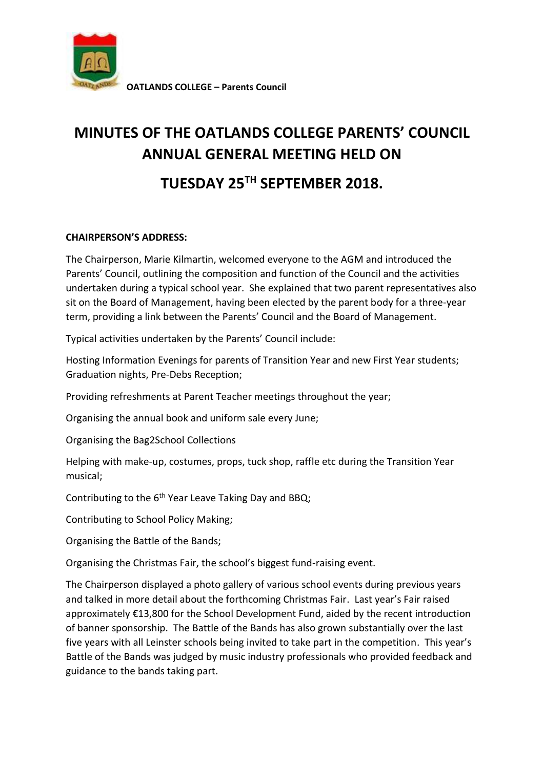

# **MINUTES OF THE OATLANDS COLLEGE PARENTS' COUNCIL ANNUAL GENERAL MEETING HELD ON TUESDAY 25TH SEPTEMBER 2018.**

## **CHAIRPERSON'S ADDRESS:**

The Chairperson, Marie Kilmartin, welcomed everyone to the AGM and introduced the Parents' Council, outlining the composition and function of the Council and the activities undertaken during a typical school year. She explained that two parent representatives also sit on the Board of Management, having been elected by the parent body for a three-year term, providing a link between the Parents' Council and the Board of Management.

Typical activities undertaken by the Parents' Council include:

Hosting Information Evenings for parents of Transition Year and new First Year students; Graduation nights, Pre-Debs Reception;

Providing refreshments at Parent Teacher meetings throughout the year;

Organising the annual book and uniform sale every June;

Organising the Bag2School Collections

Helping with make-up, costumes, props, tuck shop, raffle etc during the Transition Year musical;

Contributing to the 6<sup>th</sup> Year Leave Taking Day and BBQ;

Contributing to School Policy Making;

Organising the Battle of the Bands;

Organising the Christmas Fair, the school's biggest fund-raising event.

The Chairperson displayed a photo gallery of various school events during previous years and talked in more detail about the forthcoming Christmas Fair. Last year's Fair raised approximately €13,800 for the School Development Fund, aided by the recent introduction of banner sponsorship. The Battle of the Bands has also grown substantially over the last five years with all Leinster schools being invited to take part in the competition. This year's Battle of the Bands was judged by music industry professionals who provided feedback and guidance to the bands taking part.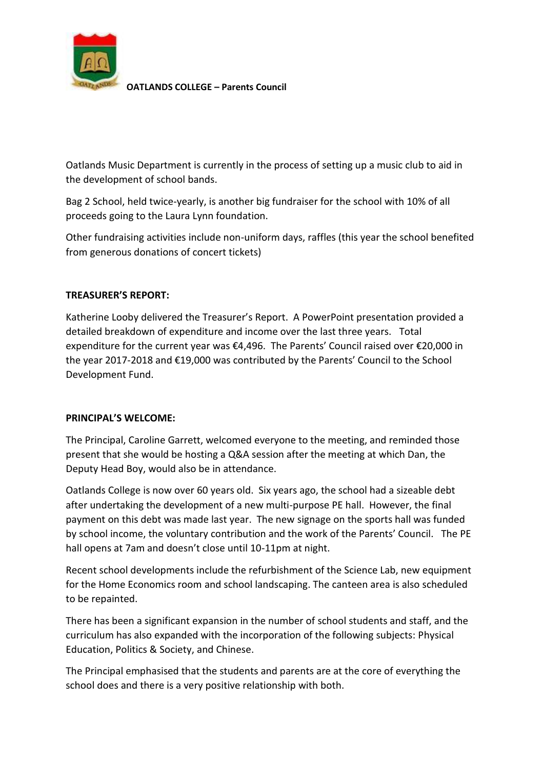

Oatlands Music Department is currently in the process of setting up a music club to aid in the development of school bands.

Bag 2 School, held twice-yearly, is another big fundraiser for the school with 10% of all proceeds going to the Laura Lynn foundation.

Other fundraising activities include non-uniform days, raffles (this year the school benefited from generous donations of concert tickets)

## **TREASURER'S REPORT:**

Katherine Looby delivered the Treasurer's Report. A PowerPoint presentation provided a detailed breakdown of expenditure and income over the last three years. Total expenditure for the current year was €4,496. The Parents' Council raised over €20,000 in the year 2017-2018 and €19,000 was contributed by the Parents' Council to the School Development Fund.

## **PRINCIPAL'S WELCOME:**

The Principal, Caroline Garrett, welcomed everyone to the meeting, and reminded those present that she would be hosting a Q&A session after the meeting at which Dan, the Deputy Head Boy, would also be in attendance.

Oatlands College is now over 60 years old. Six years ago, the school had a sizeable debt after undertaking the development of a new multi-purpose PE hall. However, the final payment on this debt was made last year. The new signage on the sports hall was funded by school income, the voluntary contribution and the work of the Parents' Council. The PE hall opens at 7am and doesn't close until 10-11pm at night.

Recent school developments include the refurbishment of the Science Lab, new equipment for the Home Economics room and school landscaping. The canteen area is also scheduled to be repainted.

There has been a significant expansion in the number of school students and staff, and the curriculum has also expanded with the incorporation of the following subjects: Physical Education, Politics & Society, and Chinese.

The Principal emphasised that the students and parents are at the core of everything the school does and there is a very positive relationship with both.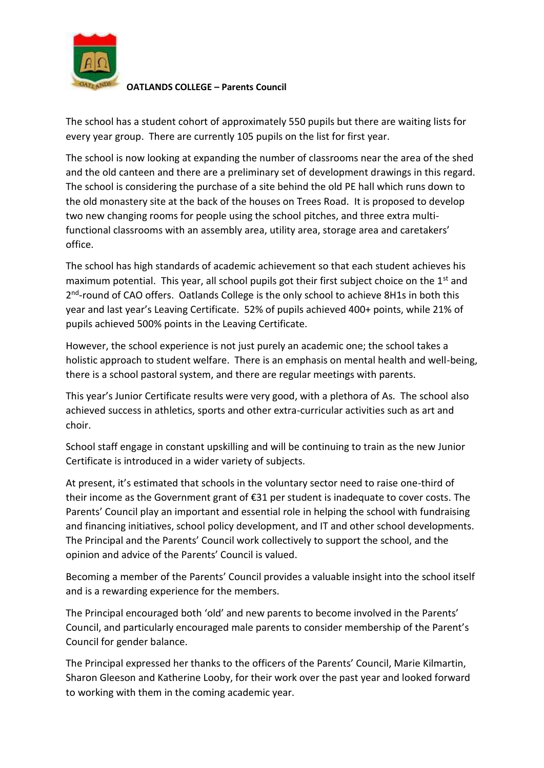

The school has a student cohort of approximately 550 pupils but there are waiting lists for every year group. There are currently 105 pupils on the list for first year.

The school is now looking at expanding the number of classrooms near the area of the shed and the old canteen and there are a preliminary set of development drawings in this regard. The school is considering the purchase of a site behind the old PE hall which runs down to the old monastery site at the back of the houses on Trees Road. It is proposed to develop two new changing rooms for people using the school pitches, and three extra multifunctional classrooms with an assembly area, utility area, storage area and caretakers' office.

The school has high standards of academic achievement so that each student achieves his maximum potential. This year, all school pupils got their first subject choice on the 1<sup>st</sup> and 2<sup>nd</sup>-round of CAO offers. Oatlands College is the only school to achieve 8H1s in both this year and last year's Leaving Certificate. 52% of pupils achieved 400+ points, while 21% of pupils achieved 500% points in the Leaving Certificate.

However, the school experience is not just purely an academic one; the school takes a holistic approach to student welfare. There is an emphasis on mental health and well-being, there is a school pastoral system, and there are regular meetings with parents.

This year's Junior Certificate results were very good, with a plethora of As. The school also achieved success in athletics, sports and other extra-curricular activities such as art and choir.

School staff engage in constant upskilling and will be continuing to train as the new Junior Certificate is introduced in a wider variety of subjects.

At present, it's estimated that schools in the voluntary sector need to raise one-third of their income as the Government grant of €31 per student is inadequate to cover costs. The Parents' Council play an important and essential role in helping the school with fundraising and financing initiatives, school policy development, and IT and other school developments. The Principal and the Parents' Council work collectively to support the school, and the opinion and advice of the Parents' Council is valued.

Becoming a member of the Parents' Council provides a valuable insight into the school itself and is a rewarding experience for the members.

The Principal encouraged both 'old' and new parents to become involved in the Parents' Council, and particularly encouraged male parents to consider membership of the Parent's Council for gender balance.

The Principal expressed her thanks to the officers of the Parents' Council, Marie Kilmartin, Sharon Gleeson and Katherine Looby, for their work over the past year and looked forward to working with them in the coming academic year.